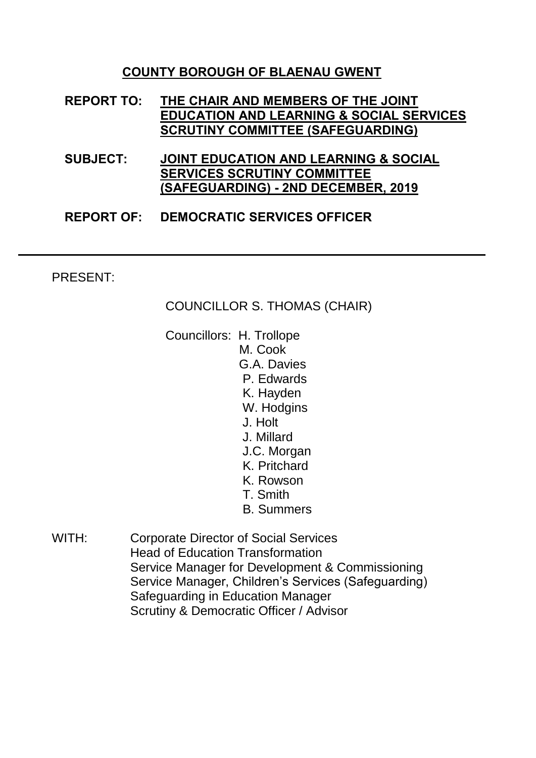## **COUNTY BOROUGH OF BLAENAU GWENT**

- **REPORT TO: THE CHAIR AND MEMBERS OF THE JOINT EDUCATION AND LEARNING & SOCIAL SERVICES SCRUTINY COMMITTEE (SAFEGUARDING)**
- **SUBJECT: JOINT EDUCATION AND LEARNING & SOCIAL SERVICES SCRUTINY COMMITTEE (SAFEGUARDING) - 2ND DECEMBER, 2019**

#### **REPORT OF: DEMOCRATIC SERVICES OFFICER**

#### PRESENT:

COUNCILLOR S. THOMAS (CHAIR)

- Councillors: H. Trollope M. Cook G.A. Davies P. Edwards K. Hayden W. Hodgins J. Holt J. Millard J.C. Morgan K. Pritchard K. Rowson T. Smith B. Summers
- WITH: Corporate Director of Social Services Head of Education Transformation Service Manager for Development & Commissioning Service Manager, Children's Services (Safeguarding) Safeguarding in Education Manager Scrutiny & Democratic Officer / Advisor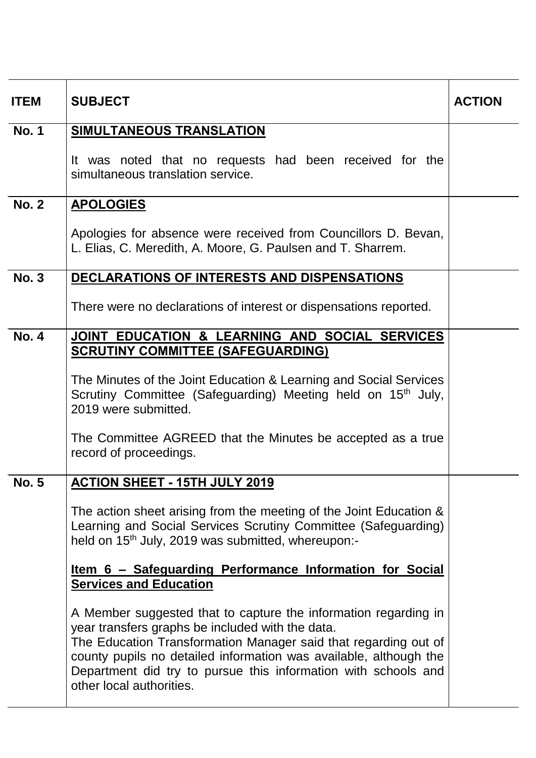| <b>ITEM</b>  | <b>SUBJECT</b>                                                                                                                                                                                                                                                                                                                                            | <b>ACTION</b> |
|--------------|-----------------------------------------------------------------------------------------------------------------------------------------------------------------------------------------------------------------------------------------------------------------------------------------------------------------------------------------------------------|---------------|
| <b>No. 1</b> | SIMULTANEOUS TRANSLATION                                                                                                                                                                                                                                                                                                                                  |               |
|              | It was noted that no requests had been received for the<br>simultaneous translation service.                                                                                                                                                                                                                                                              |               |
| <b>No. 2</b> | <b>APOLOGIES</b>                                                                                                                                                                                                                                                                                                                                          |               |
|              | Apologies for absence were received from Councillors D. Bevan,<br>L. Elias, C. Meredith, A. Moore, G. Paulsen and T. Sharrem.                                                                                                                                                                                                                             |               |
| <b>No. 3</b> | DECLARATIONS OF INTERESTS AND DISPENSATIONS                                                                                                                                                                                                                                                                                                               |               |
|              | There were no declarations of interest or dispensations reported.                                                                                                                                                                                                                                                                                         |               |
| <b>No. 4</b> | JOINT EDUCATION & LEARNING AND SOCIAL SERVICES<br><b>SCRUTINY COMMITTEE (SAFEGUARDING)</b>                                                                                                                                                                                                                                                                |               |
|              | The Minutes of the Joint Education & Learning and Social Services<br>Scrutiny Committee (Safeguarding) Meeting held on 15 <sup>th</sup> July,<br>2019 were submitted.<br>The Committee AGREED that the Minutes be accepted as a true<br>record of proceedings.                                                                                            |               |
| <b>No. 5</b> | <b>ACTION SHEET - 15TH JULY 2019</b>                                                                                                                                                                                                                                                                                                                      |               |
|              | The action sheet arising from the meeting of the Joint Education &<br>Learning and Social Services Scrutiny Committee (Safeguarding)<br>held on 15 <sup>th</sup> July, 2019 was submitted, whereupon:-                                                                                                                                                    |               |
|              | <u>Item 6 – Safeguarding Performance Information for Social</u><br><b>Services and Education</b>                                                                                                                                                                                                                                                          |               |
|              | A Member suggested that to capture the information regarding in<br>year transfers graphs be included with the data.<br>The Education Transformation Manager said that regarding out of<br>county pupils no detailed information was available, although the<br>Department did try to pursue this information with schools and<br>other local authorities. |               |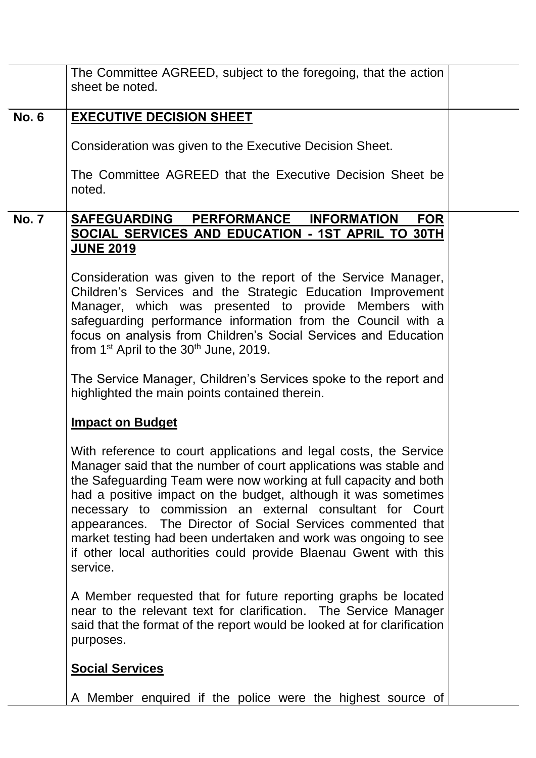|              | The Committee AGREED, subject to the foregoing, that the action<br>sheet be noted.                                                                                                                                                                                                                                                                                                                                                                                                                                                                        |  |
|--------------|-----------------------------------------------------------------------------------------------------------------------------------------------------------------------------------------------------------------------------------------------------------------------------------------------------------------------------------------------------------------------------------------------------------------------------------------------------------------------------------------------------------------------------------------------------------|--|
| <b>No. 6</b> | <b>EXECUTIVE DECISION SHEET</b>                                                                                                                                                                                                                                                                                                                                                                                                                                                                                                                           |  |
|              | Consideration was given to the Executive Decision Sheet.                                                                                                                                                                                                                                                                                                                                                                                                                                                                                                  |  |
|              | The Committee AGREED that the Executive Decision Sheet be<br>noted.                                                                                                                                                                                                                                                                                                                                                                                                                                                                                       |  |
| <b>No. 7</b> | <b>SAFEGUARDING</b><br>PERFORMANCE INFORMATION<br><b>FOR</b>                                                                                                                                                                                                                                                                                                                                                                                                                                                                                              |  |
|              | SOCIAL SERVICES AND EDUCATION - 1ST APRIL TO 30TH<br><b>JUNE 2019</b>                                                                                                                                                                                                                                                                                                                                                                                                                                                                                     |  |
|              | Consideration was given to the report of the Service Manager,<br>Children's Services and the Strategic Education Improvement<br>Manager, which was presented to provide Members with<br>safeguarding performance information from the Council with a<br>focus on analysis from Children's Social Services and Education<br>from $1st$ April to the 30 <sup>th</sup> June, 2019.                                                                                                                                                                           |  |
|              | The Service Manager, Children's Services spoke to the report and<br>highlighted the main points contained therein.                                                                                                                                                                                                                                                                                                                                                                                                                                        |  |
|              | <b>Impact on Budget</b>                                                                                                                                                                                                                                                                                                                                                                                                                                                                                                                                   |  |
|              | With reference to court applications and legal costs, the Service<br>Manager said that the number of court applications was stable and<br>the Safeguarding Team were now working at full capacity and both<br>had a positive impact on the budget, although it was sometimes<br>necessary to commission an external consultant for Court<br>appearances. The Director of Social Services commented that<br>market testing had been undertaken and work was ongoing to see<br>if other local authorities could provide Blaenau Gwent with this<br>service. |  |
|              | A Member requested that for future reporting graphs be located<br>near to the relevant text for clarification. The Service Manager<br>said that the format of the report would be looked at for clarification<br>purposes.                                                                                                                                                                                                                                                                                                                                |  |
|              | <b>Social Services</b>                                                                                                                                                                                                                                                                                                                                                                                                                                                                                                                                    |  |
|              | A Member enquired if the police were the highest source of                                                                                                                                                                                                                                                                                                                                                                                                                                                                                                |  |
|              |                                                                                                                                                                                                                                                                                                                                                                                                                                                                                                                                                           |  |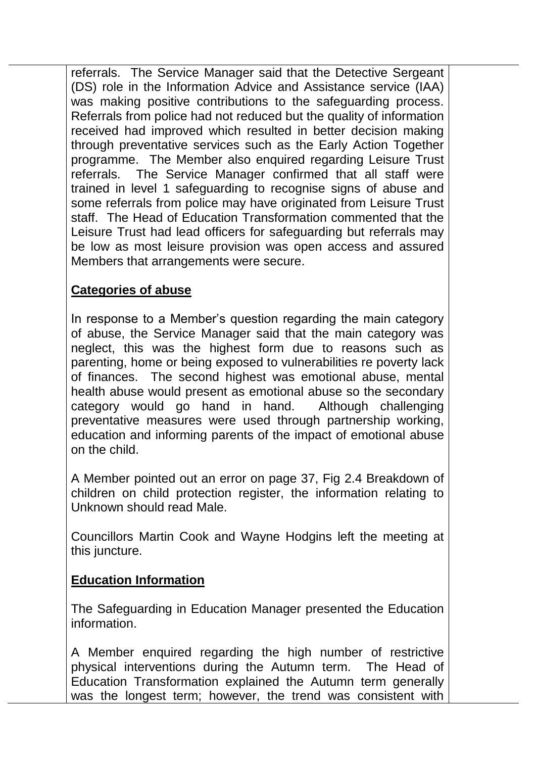referrals. The Service Manager said that the Detective Sergeant (DS) role in the Information Advice and Assistance service (IAA) was making positive contributions to the safeguarding process. Referrals from police had not reduced but the quality of information received had improved which resulted in better decision making through preventative services such as the Early Action Together programme. The Member also enquired regarding Leisure Trust referrals. The Service Manager confirmed that all staff were trained in level 1 safeguarding to recognise signs of abuse and some referrals from police may have originated from Leisure Trust staff. The Head of Education Transformation commented that the Leisure Trust had lead officers for safeguarding but referrals may be low as most leisure provision was open access and assured Members that arrangements were secure.

# **Categories of abuse**

In response to a Member's question regarding the main category of abuse, the Service Manager said that the main category was neglect, this was the highest form due to reasons such as parenting, home or being exposed to vulnerabilities re poverty lack of finances. The second highest was emotional abuse, mental health abuse would present as emotional abuse so the secondary category would go hand in hand. Although challenging preventative measures were used through partnership working, education and informing parents of the impact of emotional abuse on the child.

A Member pointed out an error on page 37, Fig 2.4 Breakdown of children on child protection register, the information relating to Unknown should read Male.

Councillors Martin Cook and Wayne Hodgins left the meeting at this juncture.

## **Education Information**

The Safeguarding in Education Manager presented the Education information.

A Member enquired regarding the high number of restrictive physical interventions during the Autumn term. The Head of Education Transformation explained the Autumn term generally was the longest term; however, the trend was consistent with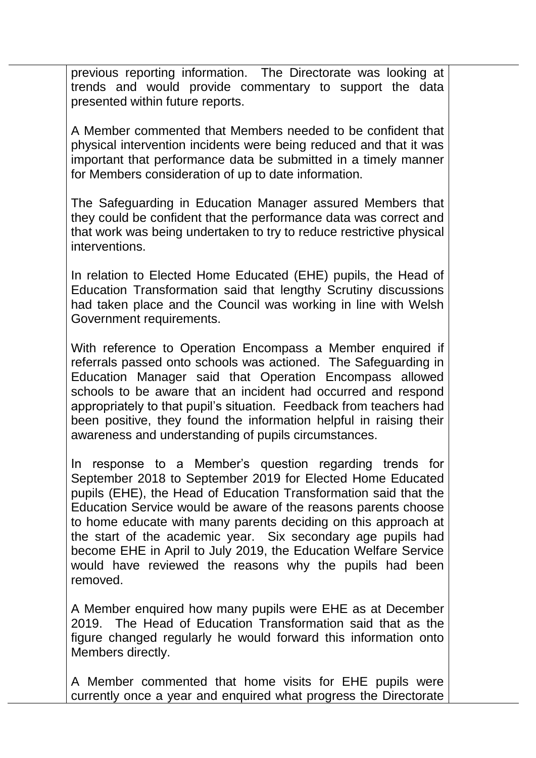previous reporting information. The Directorate was looking at trends and would provide commentary to support the data presented within future reports.

A Member commented that Members needed to be confident that physical intervention incidents were being reduced and that it was important that performance data be submitted in a timely manner for Members consideration of up to date information.

The Safeguarding in Education Manager assured Members that they could be confident that the performance data was correct and that work was being undertaken to try to reduce restrictive physical interventions.

In relation to Elected Home Educated (EHE) pupils, the Head of Education Transformation said that lengthy Scrutiny discussions had taken place and the Council was working in line with Welsh Government requirements.

With reference to Operation Encompass a Member enquired if referrals passed onto schools was actioned. The Safeguarding in Education Manager said that Operation Encompass allowed schools to be aware that an incident had occurred and respond appropriately to that pupil's situation. Feedback from teachers had been positive, they found the information helpful in raising their awareness and understanding of pupils circumstances.

In response to a Member's question regarding trends for September 2018 to September 2019 for Elected Home Educated pupils (EHE), the Head of Education Transformation said that the Education Service would be aware of the reasons parents choose to home educate with many parents deciding on this approach at the start of the academic year. Six secondary age pupils had become EHE in April to July 2019, the Education Welfare Service would have reviewed the reasons why the pupils had been removed.

A Member enquired how many pupils were EHE as at December 2019. The Head of Education Transformation said that as the figure changed regularly he would forward this information onto Members directly.

A Member commented that home visits for EHE pupils were currently once a year and enquired what progress the Directorate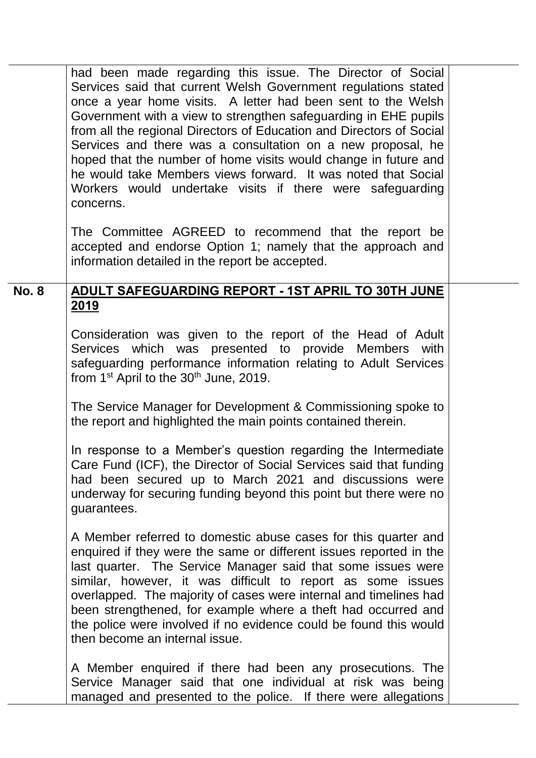|              | had been made regarding this issue. The Director of Social<br>Services said that current Welsh Government regulations stated<br>once a year home visits. A letter had been sent to the Welsh<br>Government with a view to strengthen safeguarding in EHE pupils<br>from all the regional Directors of Education and Directors of Social<br>Services and there was a consultation on a new proposal, he<br>hoped that the number of home visits would change in future and<br>he would take Members views forward. It was noted that Social<br>Workers would undertake visits if there were safeguarding<br>concerns. |  |
|--------------|----------------------------------------------------------------------------------------------------------------------------------------------------------------------------------------------------------------------------------------------------------------------------------------------------------------------------------------------------------------------------------------------------------------------------------------------------------------------------------------------------------------------------------------------------------------------------------------------------------------------|--|
|              | The Committee AGREED to recommend that the report be<br>accepted and endorse Option 1; namely that the approach and<br>information detailed in the report be accepted.                                                                                                                                                                                                                                                                                                                                                                                                                                               |  |
| <b>No. 8</b> | ADULT SAFEGUARDING REPORT - 1ST APRIL TO 30TH JUNE                                                                                                                                                                                                                                                                                                                                                                                                                                                                                                                                                                   |  |
|              | <u>2019</u>                                                                                                                                                                                                                                                                                                                                                                                                                                                                                                                                                                                                          |  |
|              | Consideration was given to the report of the Head of Adult<br>Services which was presented to provide Members with<br>safeguarding performance information relating to Adult Services<br>from $1st$ April to the $30th$ June, 2019.                                                                                                                                                                                                                                                                                                                                                                                  |  |
|              | The Service Manager for Development & Commissioning spoke to<br>the report and highlighted the main points contained therein.                                                                                                                                                                                                                                                                                                                                                                                                                                                                                        |  |
|              | In response to a Member's question regarding the Intermediate<br>Care Fund (ICF), the Director of Social Services said that funding<br>had been secured up to March 2021 and discussions were<br>underway for securing funding beyond this point but there were no<br>guarantees.                                                                                                                                                                                                                                                                                                                                    |  |
|              | A Member referred to domestic abuse cases for this quarter and<br>enquired if they were the same or different issues reported in the<br>last quarter. The Service Manager said that some issues were<br>similar, however, it was difficult to report as some issues<br>overlapped. The majority of cases were internal and timelines had<br>been strengthened, for example where a theft had occurred and<br>the police were involved if no evidence could be found this would<br>then become an internal issue.                                                                                                     |  |
|              | A Member enquired if there had been any prosecutions. The<br>Service Manager said that one individual at risk was being<br>managed and presented to the police. If there were allegations                                                                                                                                                                                                                                                                                                                                                                                                                            |  |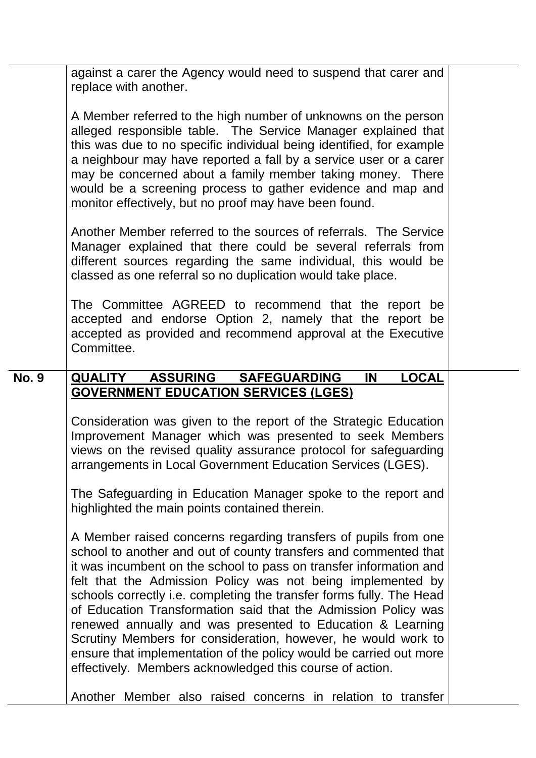against a carer the Agency would need to suspend that carer and replace with another.

A Member referred to the high number of unknowns on the person alleged responsible table. The Service Manager explained that this was due to no specific individual being identified, for example a neighbour may have reported a fall by a service user or a carer may be concerned about a family member taking money. There would be a screening process to gather evidence and map and monitor effectively, but no proof may have been found.

Another Member referred to the sources of referrals. The Service Manager explained that there could be several referrals from different sources regarding the same individual, this would be classed as one referral so no duplication would take place.

The Committee AGREED to recommend that the report be accepted and endorse Option 2, namely that the report be accepted as provided and recommend approval at the Executive Committee.

# **No. 9 QUALITY ASSURING SAFEGUARDING IN LOCAL GOVERNMENT EDUCATION SERVICES (LGES)**

Consideration was given to the report of the Strategic Education Improvement Manager which was presented to seek Members views on the revised quality assurance protocol for safeguarding arrangements in Local Government Education Services (LGES).

The Safeguarding in Education Manager spoke to the report and highlighted the main points contained therein.

A Member raised concerns regarding transfers of pupils from one school to another and out of county transfers and commented that it was incumbent on the school to pass on transfer information and felt that the Admission Policy was not being implemented by schools correctly i.e. completing the transfer forms fully. The Head of Education Transformation said that the Admission Policy was renewed annually and was presented to Education & Learning Scrutiny Members for consideration, however, he would work to ensure that implementation of the policy would be carried out more effectively. Members acknowledged this course of action.

Another Member also raised concerns in relation to transfer